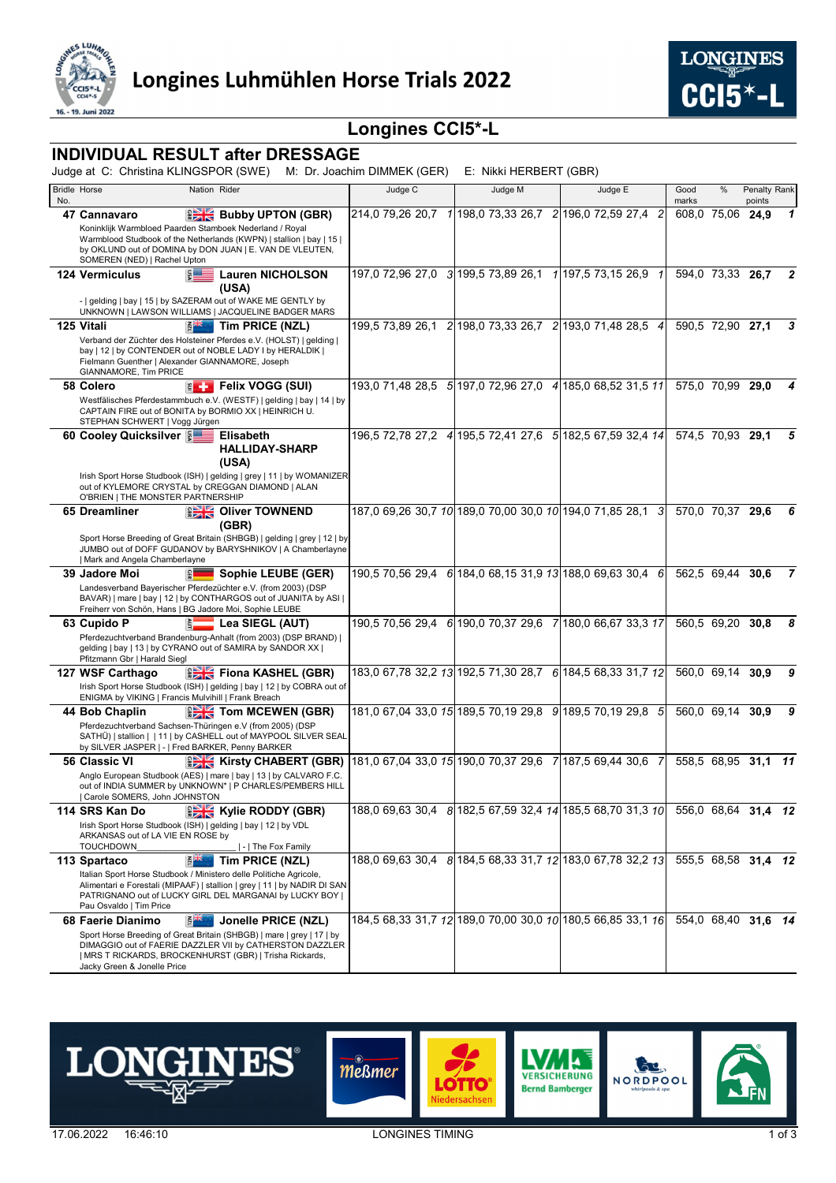



# **Longines CCI5\*-L**

### **INDIVIDUAL RESULT after DRESSAGE**

Judge at C: Christina KLINGSPOR (SWE) M: Dr. Joachim DIMMEK (GER) E: Nikki HERBERT (GBR)

| No. | <b>Bridle Horse</b>                                                                                                                                                                                                                   | Nation Rider                        | Judge C |  | Judge M | Judge E                                                                    | Good<br>marks       | %                   | Penalty Rank<br>points |   |
|-----|---------------------------------------------------------------------------------------------------------------------------------------------------------------------------------------------------------------------------------------|-------------------------------------|---------|--|---------|----------------------------------------------------------------------------|---------------------|---------------------|------------------------|---|
|     | 47 Cannavaro                                                                                                                                                                                                                          | <b>BELLET Bubby UPTON (GBR)</b>     |         |  |         | 214,0 79,26 20,7 1 198,0 73,33 26,7 2 196,0 72,59 27,4<br>$\overline{c}$   |                     | 608,0 75,06         | 24,9                   | 1 |
|     | Koninklijk Warmbloed Paarden Stamboek Nederland / Royal<br>Warmblood Studbook of the Netherlands (KWPN)   stallion   bay   15  <br>by OKLUND out of DOMINA by DON JUAN   E. VAN DE VLEUTEN,<br>SOMEREN (NED)   Rachel Upton           |                                     |         |  |         |                                                                            |                     |                     |                        |   |
|     | $5 =$<br><b>124 Vermiculus</b>                                                                                                                                                                                                        | <b>Lauren NICHOLSON</b>             |         |  |         | 197,0 72,96 27,0 3 199,5 73,89 26,1 1 197,5 73,15 26,9                     |                     | 594,0 73,33 26,7    |                        | 2 |
|     | -   gelding   bay   15   by SAZERAM out of WAKE ME GENTLY by<br>UNKNOWN   LAWSON WILLIAMS   JACQUELINE BADGER MARS                                                                                                                    | (USA)                               |         |  |         |                                                                            |                     |                     |                        |   |
|     | 125 Vitali<br>E                                                                                                                                                                                                                       | Tim PRICE (NZL)                     |         |  |         | 199,5 73,89 26,1 2 198,0 73,33 26,7 2 193,0 71,48 28,5 4                   |                     | 590,5 72,90 27,1    |                        | 3 |
|     | Verband der Züchter des Holsteiner Pferdes e.V. (HOLST)   gelding  <br>bay   12   by CONTENDER out of NOBLE LADY I by HERALDIK  <br>Fielmann Guenther   Alexander GIANNAMORE, Joseph<br>GIANNAMORE, Tim PRICE                         |                                     |         |  |         |                                                                            |                     |                     |                        |   |
|     | 58 Colero<br>$\epsilon$ +                                                                                                                                                                                                             | Felix VOGG (SUI)                    |         |  |         | 193,0 71,48 28,5 5 197,0 72,96 27,0 4 185,0 68,52 31,5 11                  |                     | 575,0 70,99 29,0    |                        |   |
|     | Westfälisches Pferdestammbuch e.V. (WESTF)   gelding   bay   14   by<br>CAPTAIN FIRE out of BONITA by BORMIO XX   HEINRICH U.<br>STEPHAN SCHWERT   Vogg Jürgen                                                                        |                                     |         |  |         |                                                                            |                     |                     |                        |   |
|     | 60 Cooley Quicksilver  ଛି                                                                                                                                                                                                             | Elisabeth                           |         |  |         | 196,5 72,78 27,2 4 195,5 72,41 27,6 5 182,5 67,59 32,4 14 574,5 70,93 29,1 |                     |                     |                        | 5 |
|     |                                                                                                                                                                                                                                       | <b>HALLIDAY-SHARP</b><br>(USA)      |         |  |         |                                                                            |                     |                     |                        |   |
|     | Irish Sport Horse Studbook (ISH)   gelding   grey   11   by WOMANIZER<br>out of KYLEMORE CRYSTAL by CREGGAN DIAMOND   ALAN<br>O'BRIEN   THE MONSTER PARTNERSHIP                                                                       |                                     |         |  |         |                                                                            |                     |                     |                        |   |
|     | 65 Dreamliner                                                                                                                                                                                                                         | <b>Diver TOWNEND</b><br>(GBR)       |         |  |         | 187,0 69,26 30,7 10 189,0 70,00 30,0 10 194,0 71,85 28,1<br>$\overline{3}$ |                     | 570.0 70.37 29.6    |                        | 6 |
|     | Sport Horse Breeding of Great Britain (SHBGB)   gelding   grey   12   by<br>JUMBO out of DOFF GUDANOV by BARYSHNIKOV   A Chamberlayne<br>  Mark and Angela Chamberlayne                                                               |                                     |         |  |         |                                                                            |                     |                     |                        |   |
|     | 39 Jadore Moi<br> 읿                                                                                                                                                                                                                   | Sophie LEUBE (GER)                  |         |  |         | 190,5 70,56 29,4 6 184,0 68,15 31,9 13 188,0 69,63 30,4 6                  |                     | 562.5 69.44 30.6    |                        | 7 |
|     | Landesverband Bayerischer Pferdezüchter e.V. (from 2003) (DSP<br>BAVAR)   mare   bay   12   by CONTHARGOS out of JUANITA by ASI  <br>Freiherr von Schön, Hans   BG Jadore Moi, Sophie LEUBE                                           |                                     |         |  |         |                                                                            |                     |                     |                        |   |
|     | 63 Cupido P<br>iš.                                                                                                                                                                                                                    | _ Lea SIEGL (AUT)                   |         |  |         | 190,5 70,56 29,4 6 190,0 70,37 29,6 7 180,0 66,67 33,3 17                  |                     | 560,5 69,20         | 30.8                   | 8 |
|     | Pferdezuchtverband Brandenburg-Anhalt (from 2003) (DSP BRAND)  <br>gelding   bay   13   by CYRANO out of SAMIRA by SANDOR XX  <br>Pfitzmann Gbr   Harald Siegl                                                                        |                                     |         |  |         |                                                                            |                     |                     |                        |   |
|     | 127 WSF Carthago                                                                                                                                                                                                                      | <b>EXE</b> Fiona KASHEL (GBR)       |         |  |         | 183,0 67,78 32,2 13 192,5 71,30 28,7 6 184,5 68,33 31,7 12                 |                     | 560.0 69.14 30.9    |                        | 9 |
|     | Irish Sport Horse Studbook (ISH)   gelding   bay   12   by COBRA out of<br>ENIGMA by VIKING   Francis Mulvihill   Frank Breach                                                                                                        |                                     |         |  |         |                                                                            |                     |                     |                        |   |
|     | 44 Bob Chaplin                                                                                                                                                                                                                        | <b>EXECTOM MCEWEN (GBR)</b>         |         |  |         | 181,0 67,04 33,0 15 189,5 70,19 29,8 9 189,5 70,19 29,8 5                  |                     | 560.0 69.14 30.9    |                        | 9 |
|     | Pferdezuchtverband Sachsen-Thüringen e.V (from 2005) (DSP<br>SATHÜ)   stallion     11   by CASHELL out of MAYPOOL SILVER SEAL<br>by SILVER JASPER   -   Fred BARKER, Penny BARKER                                                     |                                     |         |  |         |                                                                            |                     |                     |                        |   |
|     | 56 Classic VI                                                                                                                                                                                                                         | <b>EXECUTE Kirsty CHABERT (GBR)</b> |         |  |         | 181,0 67,04 33,0 15 190,0 70,37 29,6 7 187,5 69,44 30,6 7                  |                     | 558.5 68.95 31.1 11 |                        |   |
|     | Anglo European Studbook (AES)   mare   bay   13   by CALVARO F.C.<br>out of INDIA SUMMER by UNKNOWN*   P CHARLES/PEMBERS HILL<br>  Carole SOMERS, John JOHNSTON                                                                       |                                     |         |  |         |                                                                            |                     |                     |                        |   |
|     | 114 SRS Kan Do                                                                                                                                                                                                                        | <b>EXACT Kylie RODDY (GBR)</b>      |         |  |         | 188,0 69,63 30,4 8 182,5 67,59 32,4 14 185,5 68,70 31,3 10                 | 556,0 68,64 31,4 12 |                     |                        |   |
|     | Irish Sport Horse Studbook (ISH)   gelding   bay   12   by VDL<br>ARKANSAS out of LA VIE EN ROSE by<br><b>TOUCHDOWN</b>                                                                                                               | -   The Fox Family                  |         |  |         |                                                                            |                     |                     |                        |   |
|     | 113 Spartaco<br>ŘΪ                                                                                                                                                                                                                    | Tim PRICE (NZL)                     |         |  |         | 188,0 69,63 30,4 8 184,5 68,33 31,7 12 183,0 67,78 32,2 13                 |                     | 555.5 68.58 31.4 12 |                        |   |
|     | Italian Sport Horse Studbook / Ministero delle Politiche Agricole,<br>Alimentari e Forestali (MIPAAF)   stallion   grey   11   by NADIR DI SAN<br>PATRIGNANO out of LUCKY GIRL DEL MARGANAI by LUCKY BOY  <br>Pau Osvaldo   Tim Price |                                     |         |  |         |                                                                            |                     |                     |                        |   |
|     | 68 Faerie Dianimo<br><b>EXAMPLE</b>                                                                                                                                                                                                   | Jonelle PRICE (NZL)                 |         |  |         | 184,5 68,33 31,7 12 189,0 70,00 30,0 10 180,5 66,85 33,1 16                | 554,0 68,40 31,6 14 |                     |                        |   |
|     | Sport Horse Breeding of Great Britain (SHBGB)   mare   grey   17   by<br>DIMAGGIO out of FAERIE DAZZLER VII by CATHERSTON DAZZLER<br>  MRS T RICKARDS, BROCKENHURST (GBR)   Trisha Rickards,<br>Jacky Green & Jonelle Price           |                                     |         |  |         |                                                                            |                     |                     |                        |   |

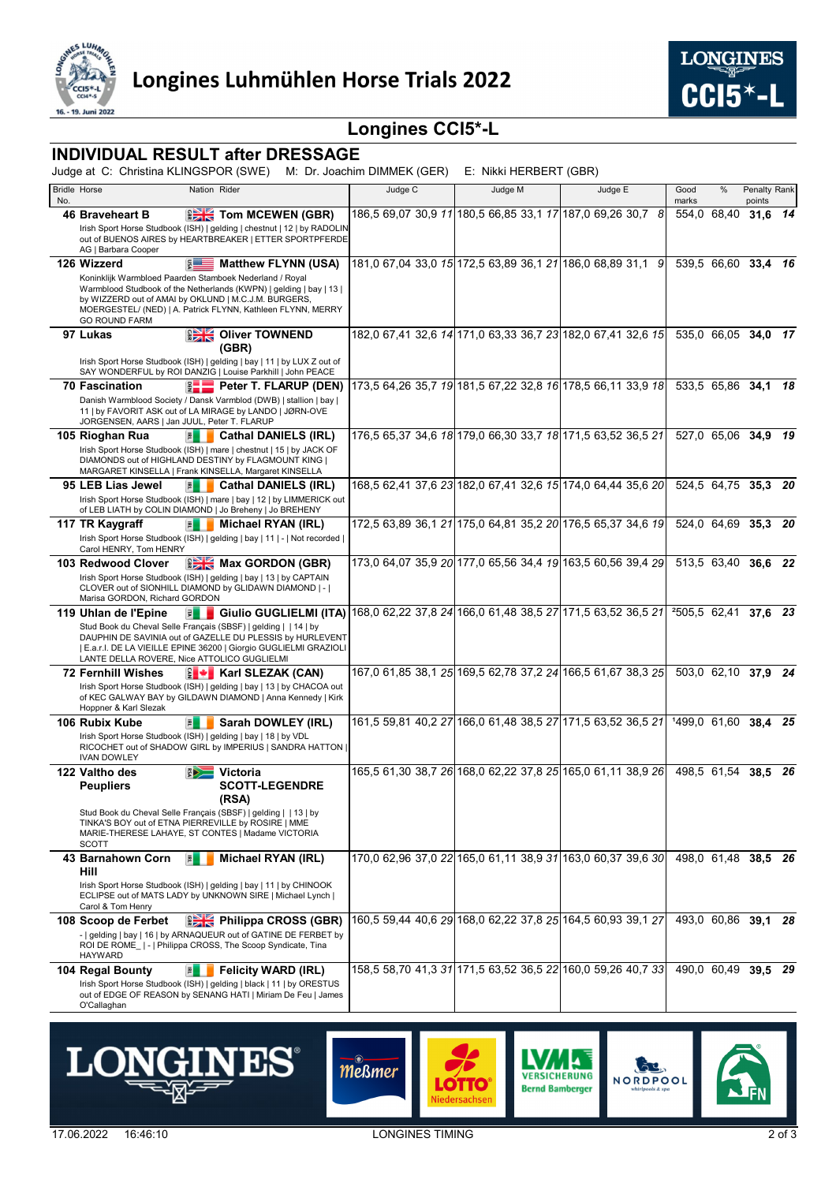



# **Longines CCI5\*-L**

### **INDIVIDUAL RESULT after DRESSAGE**

Judge at C: Christina KLINGSPOR (SWE) M: Dr. Joachim DIMMEK (GER) E: Nikki HERBERT (GBR)

|     | <b>Bridle Horse</b>                         | Nation Rider                                                                                                                          |         |                                                             |                                                             | Good                     | %     | Penalty Rank                     |    |
|-----|---------------------------------------------|---------------------------------------------------------------------------------------------------------------------------------------|---------|-------------------------------------------------------------|-------------------------------------------------------------|--------------------------|-------|----------------------------------|----|
| No. |                                             |                                                                                                                                       | Judge C | Judge M                                                     | Judge E                                                     | marks                    |       | points                           |    |
|     | 46 Braveheart B                             | <b>EXECT TOM MCEWEN (GBR)</b>                                                                                                         |         | 186,5 69,07 30,9 11 180,5 66,85 33,1 17 187,0 69,26 30,7 8  |                                                             | 554,0                    | 68,40 | 31,6                             | 14 |
|     |                                             | Irish Sport Horse Studbook (ISH)   gelding   chestnut   12   by RADOLIN                                                               |         |                                                             |                                                             |                          |       |                                  |    |
|     |                                             | out of BUENOS AIRES by HEARTBREAKER   ETTER SPORTPFERDE                                                                               |         |                                                             |                                                             |                          |       |                                  |    |
|     | AG   Barbara Cooper<br>126 Wizzerd          | $5 =$<br><b>Matthew FLYNN (USA)</b>                                                                                                   |         |                                                             | 181,0 67,04 33,0 15 172,5 63,89 36,1 21 186,0 68,89 31,1 9  | 539.5 66.60 33.4         |       |                                  | 16 |
|     |                                             | Koninklijk Warmbloed Paarden Stamboek Nederland / Royal                                                                               |         |                                                             |                                                             |                          |       |                                  |    |
|     |                                             | Warmblood Studbook of the Netherlands (KWPN)   gelding   bay   13                                                                     |         |                                                             |                                                             |                          |       |                                  |    |
|     |                                             | by WIZZERD out of AMAI by OKLUND   M.C.J.M. BURGERS,<br>MOERGESTEL/ (NED)   A. Patrick FLYNN, Kathleen FLYNN, MERRY                   |         |                                                             |                                                             |                          |       |                                  |    |
|     | <b>GO ROUND FARM</b>                        |                                                                                                                                       |         |                                                             |                                                             |                          |       |                                  |    |
|     | 97 Lukas                                    | <b>DE Oliver TOWNEND</b>                                                                                                              |         |                                                             | 182,0 67,41 32,6 14 171,0 63,33 36,7 23 182,0 67,41 32,6 15 | 535.0 66.05 34.0 17      |       |                                  |    |
|     |                                             | (GBR)                                                                                                                                 |         |                                                             |                                                             |                          |       |                                  |    |
|     |                                             | Irish Sport Horse Studbook (ISH)   gelding   bay   11   by LUX Z out of<br>SAY WONDERFUL by ROI DANZIG   Louise Parkhill   John PEACE |         |                                                             |                                                             |                          |       |                                  |    |
|     | <b>70 Fascination</b>                       | Peter T. FLARUP (DEN)                                                                                                                 |         |                                                             | 173,5 64,26 35,7 19 181,5 67,22 32,8 16 178,5 66,11 33,9 18 |                          |       | 533,5 65,86 34,1 18              |    |
|     |                                             | Danish Warmblood Society / Dansk Varmblod (DWB)   stallion   bay                                                                      |         |                                                             |                                                             |                          |       |                                  |    |
|     |                                             | 11   by FAVORIT ASK out of LA MIRAGE by LANDO   JØRN-OVE                                                                              |         |                                                             |                                                             |                          |       |                                  |    |
|     | JORGENSEN, AARS   Jan JUUL, Peter T. FLARUP |                                                                                                                                       |         |                                                             |                                                             |                          |       |                                  |    |
|     | 105 Rioghan Rua                             | 国<br><b>Cathal DANIELS (IRL)</b>                                                                                                      |         | 176,5 65,37 34,6 18 179,0 66,30 33,7 18 171,5 63,52 36,5 21 |                                                             |                          |       | $\overline{527,0}$ 65,06 34,9 19 |    |
|     |                                             | Irish Sport Horse Studbook (ISH)   mare   chestnut   15   by JACK OF<br>DIAMONDS out of HIGHLAND DESTINY by FLAGMOUNT KING            |         |                                                             |                                                             |                          |       |                                  |    |
|     |                                             | MARGARET KINSELLA   Frank KINSELLA, Margaret KINSELLA                                                                                 |         |                                                             |                                                             |                          |       |                                  |    |
|     | 95 LEB Lias Jewel                           | $\overline{p}$<br><b>Cathal DANIELS (IRL)</b>                                                                                         |         |                                                             | 168,5 62,41 37,6 23 182,0 67,41 32,6 15 174,0 64,44 35,6 20 |                          |       | 524,5 64,75 35,3                 | 20 |
|     |                                             | Irish Sport Horse Studbook (ISH)   mare   bay   12   by LIMMERICK out<br>of LEB LIATH by COLIN DIAMOND   Jo Breheny   Jo BREHENY      |         |                                                             |                                                             |                          |       |                                  |    |
|     | 117 TR Kaygraff                             | 国<br>Michael RYAN (IRL)                                                                                                               |         |                                                             | 172.5 63.89 36.1 21 175.0 64.81 35.2 20 176.5 65.37 34.6 19 | 524,0 64,69              |       | 35,3                             | 20 |
|     |                                             | Irish Sport Horse Studbook (ISH)   gelding   bay   11   -   Not recorded                                                              |         |                                                             |                                                             |                          |       |                                  |    |
|     | Carol HENRY, Tom HENRY                      |                                                                                                                                       |         |                                                             |                                                             |                          |       |                                  |    |
|     | 103 Redwood Clover                          | <b>EXE</b> Max GORDON (GBR)                                                                                                           |         |                                                             | 173,0 64,07 35,9 20 177,0 65,56 34,4 19 163,5 60,56 39,4 29 |                          |       | 513,5 63,40 36,6 22              |    |
|     |                                             | Irish Sport Horse Studbook (ISH)   gelding   bay   13   by CAPTAIN<br>CLOVER out of SIONHILL DIAMOND by GLIDAWN DIAMOND   -           |         |                                                             |                                                             |                          |       |                                  |    |
|     | Marisa GORDON, Richard GORDON               |                                                                                                                                       |         |                                                             |                                                             |                          |       |                                  |    |
|     | 119 Uhlan de l'Epine                        | Giulio GUGLIELMI (ITA) 168,0 62,22 37,8 24 166,0 61,48 38,5 27 171,5 63,52 36,5 21<br>団                                               |         |                                                             |                                                             | <sup>2</sup> 505,5 62,41 |       | 37.6 23                          |    |
|     |                                             | Stud Book du Cheval Selle Français (SBSF)   gelding     14   by                                                                       |         |                                                             |                                                             |                          |       |                                  |    |
|     |                                             | DAUPHIN DE SAVINIA out of GAZELLE DU PLESSIS by HURLEVENT<br>  E.a.r.I. DE LA VIEILLE EPINE 36200   Giorgio GUGLIELMI GRAZIOLI        |         |                                                             |                                                             |                          |       |                                  |    |
|     | LANTE DELLA ROVERE, Nice ATTOLICO GUGLIELMI |                                                                                                                                       |         |                                                             |                                                             |                          |       |                                  |    |
|     | <b>72 Fernhill Wishes</b>                   | <b>E + Karl SLEZAK (CAN)</b>                                                                                                          |         |                                                             | 167,0 61,85 38,1 25 169,5 62,78 37,2 24 166,5 61,67 38,3 25 |                          |       | 503.0 62,10 37,9 24              |    |
|     |                                             | Irish Sport Horse Studbook (ISH)   gelding   bay   13   by CHACOA out<br>of KEC GALWAY BAY by GILDAWN DIAMOND   Anna Kennedy   Kirk   |         |                                                             |                                                             |                          |       |                                  |    |
|     | Hoppner & Karl Slezak                       |                                                                                                                                       |         |                                                             |                                                             |                          |       |                                  |    |
|     | 106 Rubix Kube                              | Sarah DOWLEY (IRL)<br>퇸                                                                                                               |         | 161,5 59,81 40,2 27 166,0 61,48 38,5 27 171,5 63,52 36,5 21 |                                                             | 1499.0 61.60             |       | 38.4 25                          |    |
|     |                                             | Irish Sport Horse Studbook (ISH)   gelding   bay   18   by VDL                                                                        |         |                                                             |                                                             |                          |       |                                  |    |
|     | <b>IVAN DOWLEY</b>                          | RICOCHET out of SHADOW GIRL by IMPERIUS   SANDRA HATTON                                                                               |         |                                                             |                                                             |                          |       |                                  |    |
|     | 122 Valtho des                              | Victoria                                                                                                                              |         |                                                             | 165,5 61,30 38,7 26 168,0 62,22 37,8 25 165,0 61,11 38,9 26 | 498.5 61.54              |       | 38.5                             | 26 |
|     | <b>Peupliers</b>                            | <b>SCOTT-LEGENDRE</b>                                                                                                                 |         |                                                             |                                                             |                          |       |                                  |    |
|     |                                             | (RSA)                                                                                                                                 |         |                                                             |                                                             |                          |       |                                  |    |
|     |                                             | Stud Book du Cheval Selle Français (SBSF)   gelding     13   by                                                                       |         |                                                             |                                                             |                          |       |                                  |    |
|     |                                             | TINKA'S BOY out of ETNA PIERREVILLE by ROSIRE   MME<br>MARIE-THERESE LAHAYE, ST CONTES   Madame VICTORIA                              |         |                                                             |                                                             |                          |       |                                  |    |
|     | <b>SCOTT</b>                                |                                                                                                                                       |         |                                                             |                                                             |                          |       |                                  |    |
|     | 43 Barnahown Corn                           | 国<br>Michael RYAN (IRL)                                                                                                               |         |                                                             | 170,0 62,96 37,0 22 165,0 61,11 38,9 31 163,0 60,37 39,6 30 |                          |       | 498.0 61.48 38.5 26              |    |
|     | Hill                                        | Irish Sport Horse Studbook (ISH)   gelding   bay   11   by CHINOOK                                                                    |         |                                                             |                                                             |                          |       |                                  |    |
|     |                                             | ECLIPSE out of MATS LADY by UNKNOWN SIRE   Michael Lynch                                                                              |         |                                                             |                                                             |                          |       |                                  |    |
|     | Carol & Tom Henry                           |                                                                                                                                       |         |                                                             |                                                             |                          |       |                                  |    |
|     | 108 Scoop de Ferbet                         | <b>Philippa CROSS (GBR)</b>                                                                                                           |         | 160,5 59,44 40,6 29 168,0 62,22 37,8 25 164,5 60,93 39,1 27 |                                                             |                          |       | 493.0 60.86 39.1 28              |    |
|     |                                             | -   gelding   bay   16   by ARNAQUEUR out of GATINE DE FERBET by<br>ROI DE ROME   -   Philippa CROSS, The Scoop Syndicate, Tina       |         |                                                             |                                                             |                          |       |                                  |    |
|     | <b>HAYWARD</b>                              |                                                                                                                                       |         |                                                             |                                                             |                          |       |                                  |    |
|     | 104 Regal Bounty                            | <b>Felicity WARD (IRL)</b><br>凮                                                                                                       |         |                                                             | 158,5 58,70 41,3 31 171,5 63,52 36,5 22 160,0 59,26 40,7 33 |                          |       | 490,0 60,49 39,5 29              |    |
|     |                                             | Irish Sport Horse Studbook (ISH)   gelding   black   11   by ORESTUS<br>out of EDGE OF REASON by SENANG HATI   Miriam De Feu   James  |         |                                                             |                                                             |                          |       |                                  |    |
|     | O'Callaghan                                 |                                                                                                                                       |         |                                                             |                                                             |                          |       |                                  |    |